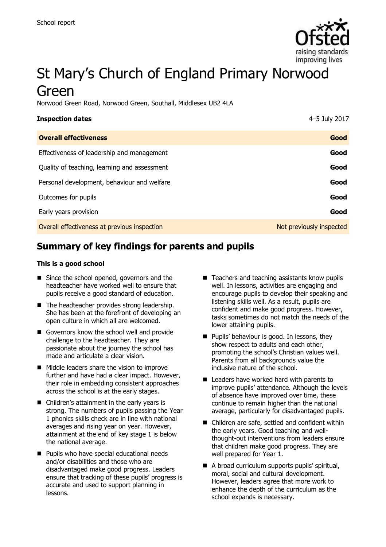

# St Mary's Church of England Primary Norwood Green

Norwood Green Road, Norwood Green, Southall, Middlesex UB2 4LA

| <b>Inspection dates</b>                      | 4-5 July 2017            |
|----------------------------------------------|--------------------------|
| <b>Overall effectiveness</b>                 | Good                     |
| Effectiveness of leadership and management   | Good                     |
| Quality of teaching, learning and assessment | Good                     |
| Personal development, behaviour and welfare  | Good                     |
| Outcomes for pupils                          | Good                     |
| Early years provision                        | Good                     |
| Overall effectiveness at previous inspection | Not previously inspected |

# **Summary of key findings for parents and pupils**

#### **This is a good school**

- Since the school opened, governors and the headteacher have worked well to ensure that pupils receive a good standard of education.
- The headteacher provides strong leadership. She has been at the forefront of developing an open culture in which all are welcomed.
- Governors know the school well and provide challenge to the headteacher. They are passionate about the journey the school has made and articulate a clear vision.
- Middle leaders share the vision to improve further and have had a clear impact. However, their role in embedding consistent approaches across the school is at the early stages.
- Children's attainment in the early years is strong. The numbers of pupils passing the Year 1 phonics skills check are in line with national averages and rising year on year. However, attainment at the end of key stage 1 is below the national average.
- **Pupils who have special educational needs** and/or disabilities and those who are disadvantaged make good progress. Leaders ensure that tracking of these pupils' progress is accurate and used to support planning in lessons.
- $\blacksquare$  Teachers and teaching assistants know pupils well. In lessons, activities are engaging and encourage pupils to develop their speaking and listening skills well. As a result, pupils are confident and make good progress. However, tasks sometimes do not match the needs of the lower attaining pupils.
- **Pupils' behaviour is good. In lessons, they** show respect to adults and each other, promoting the school's Christian values well. Parents from all backgrounds value the inclusive nature of the school.
- Leaders have worked hard with parents to improve pupils' attendance. Although the levels of absence have improved over time, these continue to remain higher than the national average, particularly for disadvantaged pupils.
- Children are safe, settled and confident within the early years. Good teaching and wellthought-out interventions from leaders ensure that children make good progress. They are well prepared for Year 1.
- A broad curriculum supports pupils' spiritual, moral, social and cultural development. However, leaders agree that more work to enhance the depth of the curriculum as the school expands is necessary.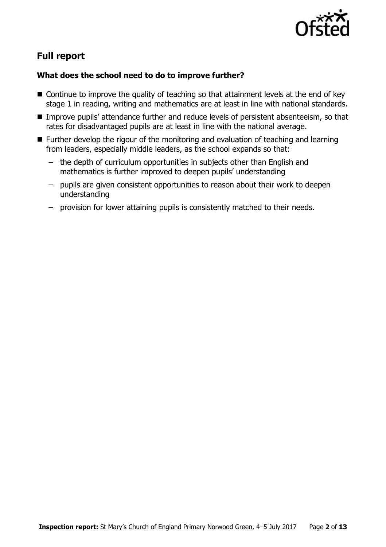

# **Full report**

### **What does the school need to do to improve further?**

- Continue to improve the quality of teaching so that attainment levels at the end of key stage 1 in reading, writing and mathematics are at least in line with national standards.
- **IMPROVE PUPILS' attendance further and reduce levels of persistent absenteeism, so that** rates for disadvantaged pupils are at least in line with the national average.
- Further develop the rigour of the monitoring and evaluation of teaching and learning from leaders, especially middle leaders, as the school expands so that:
	- the depth of curriculum opportunities in subjects other than English and mathematics is further improved to deepen pupils' understanding
	- pupils are given consistent opportunities to reason about their work to deepen understanding
	- provision for lower attaining pupils is consistently matched to their needs.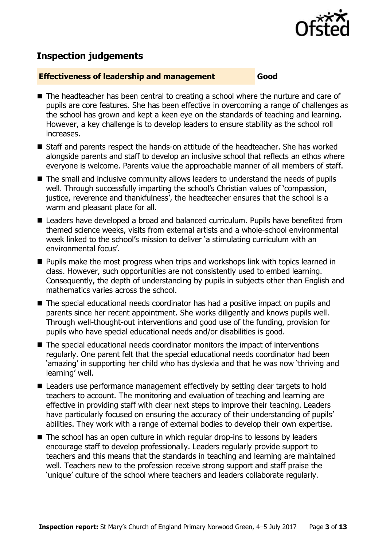

# **Inspection judgements**

#### **Effectiveness of leadership and management Good**

- The headteacher has been central to creating a school where the nurture and care of pupils are core features. She has been effective in overcoming a range of challenges as the school has grown and kept a keen eye on the standards of teaching and learning. However, a key challenge is to develop leaders to ensure stability as the school roll increases.
- Staff and parents respect the hands-on attitude of the headteacher. She has worked alongside parents and staff to develop an inclusive school that reflects an ethos where everyone is welcome. Parents value the approachable manner of all members of staff.
- The small and inclusive community allows leaders to understand the needs of pupils well. Through successfully imparting the school's Christian values of 'compassion, justice, reverence and thankfulness', the headteacher ensures that the school is a warm and pleasant place for all.
- Leaders have developed a broad and balanced curriculum. Pupils have benefited from themed science weeks, visits from external artists and a whole-school environmental week linked to the school's mission to deliver 'a stimulating curriculum with an environmental focus'.
- **Pupils make the most progress when trips and workshops link with topics learned in** class. However, such opportunities are not consistently used to embed learning. Consequently, the depth of understanding by pupils in subjects other than English and mathematics varies across the school.
- The special educational needs coordinator has had a positive impact on pupils and parents since her recent appointment. She works diligently and knows pupils well. Through well-thought-out interventions and good use of the funding, provision for pupils who have special educational needs and/or disabilities is good.
- The special educational needs coordinator monitors the impact of interventions regularly. One parent felt that the special educational needs coordinator had been 'amazing' in supporting her child who has dyslexia and that he was now 'thriving and learning' well.
- Leaders use performance management effectively by setting clear targets to hold teachers to account. The monitoring and evaluation of teaching and learning are effective in providing staff with clear next steps to improve their teaching. Leaders have particularly focused on ensuring the accuracy of their understanding of pupils' abilities. They work with a range of external bodies to develop their own expertise.
- The school has an open culture in which regular drop-ins to lessons by leaders encourage staff to develop professionally. Leaders regularly provide support to teachers and this means that the standards in teaching and learning are maintained well. Teachers new to the profession receive strong support and staff praise the 'unique' culture of the school where teachers and leaders collaborate regularly.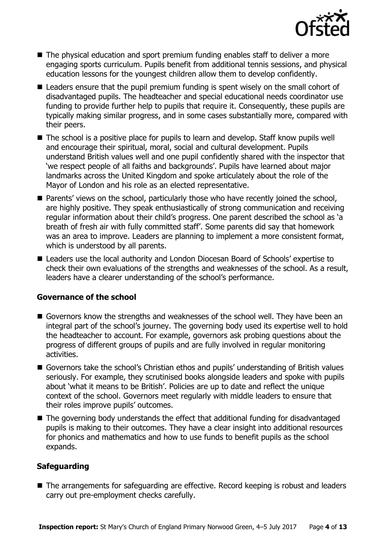

- The physical education and sport premium funding enables staff to deliver a more engaging sports curriculum. Pupils benefit from additional tennis sessions, and physical education lessons for the youngest children allow them to develop confidently.
- Leaders ensure that the pupil premium funding is spent wisely on the small cohort of disadvantaged pupils. The headteacher and special educational needs coordinator use funding to provide further help to pupils that require it. Consequently, these pupils are typically making similar progress, and in some cases substantially more, compared with their peers.
- The school is a positive place for pupils to learn and develop. Staff know pupils well and encourage their spiritual, moral, social and cultural development. Pupils understand British values well and one pupil confidently shared with the inspector that 'we respect people of all faiths and backgrounds'. Pupils have learned about major landmarks across the United Kingdom and spoke articulately about the role of the Mayor of London and his role as an elected representative.
- Parents' views on the school, particularly those who have recently joined the school, are highly positive. They speak enthusiastically of strong communication and receiving regular information about their child's progress. One parent described the school as 'a breath of fresh air with fully committed staff'. Some parents did say that homework was an area to improve. Leaders are planning to implement a more consistent format, which is understood by all parents.
- Leaders use the local authority and London Diocesan Board of Schools' expertise to check their own evaluations of the strengths and weaknesses of the school. As a result, leaders have a clearer understanding of the school's performance.

### **Governance of the school**

- Governors know the strengths and weaknesses of the school well. They have been an integral part of the school's journey. The governing body used its expertise well to hold the headteacher to account. For example, governors ask probing questions about the progress of different groups of pupils and are fully involved in regular monitoring activities.
- Governors take the school's Christian ethos and pupils' understanding of British values seriously. For example, they scrutinised books alongside leaders and spoke with pupils about 'what it means to be British'. Policies are up to date and reflect the unique context of the school. Governors meet regularly with middle leaders to ensure that their roles improve pupils' outcomes.
- The governing body understands the effect that additional funding for disadvantaged pupils is making to their outcomes. They have a clear insight into additional resources for phonics and mathematics and how to use funds to benefit pupils as the school expands.

### **Safeguarding**

■ The arrangements for safeguarding are effective. Record keeping is robust and leaders carry out pre-employment checks carefully.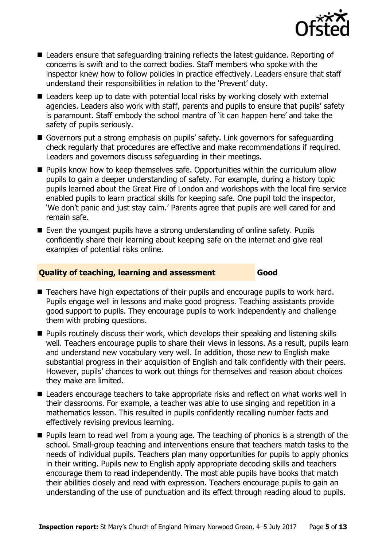

- Leaders ensure that safeguarding training reflects the latest guidance. Reporting of concerns is swift and to the correct bodies. Staff members who spoke with the inspector knew how to follow policies in practice effectively. Leaders ensure that staff understand their responsibilities in relation to the 'Prevent' duty.
- Leaders keep up to date with potential local risks by working closely with external agencies. Leaders also work with staff, parents and pupils to ensure that pupils' safety is paramount. Staff embody the school mantra of 'it can happen here' and take the safety of pupils seriously.
- Governors put a strong emphasis on pupils' safety. Link governors for safeguarding check regularly that procedures are effective and make recommendations if required. Leaders and governors discuss safeguarding in their meetings.
- **Pupils know how to keep themselves safe. Opportunities within the curriculum allow** pupils to gain a deeper understanding of safety. For example, during a history topic pupils learned about the Great Fire of London and workshops with the local fire service enabled pupils to learn practical skills for keeping safe. One pupil told the inspector, 'We don't panic and just stay calm.' Parents agree that pupils are well cared for and remain safe.
- Even the youngest pupils have a strong understanding of online safety. Pupils confidently share their learning about keeping safe on the internet and give real examples of potential risks online.

#### **Quality of teaching, learning and assessment Good**

- Teachers have high expectations of their pupils and encourage pupils to work hard. Pupils engage well in lessons and make good progress. Teaching assistants provide good support to pupils. They encourage pupils to work independently and challenge them with probing questions.
- **Pupils routinely discuss their work, which develops their speaking and listening skills** well. Teachers encourage pupils to share their views in lessons. As a result, pupils learn and understand new vocabulary very well. In addition, those new to English make substantial progress in their acquisition of English and talk confidently with their peers. However, pupils' chances to work out things for themselves and reason about choices they make are limited.
- Leaders encourage teachers to take appropriate risks and reflect on what works well in their classrooms. For example, a teacher was able to use singing and repetition in a mathematics lesson. This resulted in pupils confidently recalling number facts and effectively revising previous learning.
- **Pupils learn to read well from a young age. The teaching of phonics is a strength of the** school. Small-group teaching and interventions ensure that teachers match tasks to the needs of individual pupils. Teachers plan many opportunities for pupils to apply phonics in their writing. Pupils new to English apply appropriate decoding skills and teachers encourage them to read independently. The most able pupils have books that match their abilities closely and read with expression. Teachers encourage pupils to gain an understanding of the use of punctuation and its effect through reading aloud to pupils.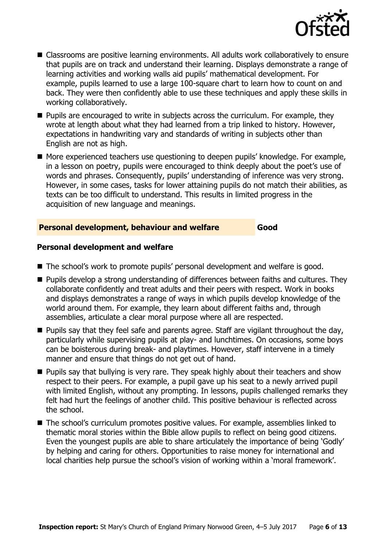

- Classrooms are positive learning environments. All adults work collaboratively to ensure that pupils are on track and understand their learning. Displays demonstrate a range of learning activities and working walls aid pupils' mathematical development. For example, pupils learned to use a large 100-square chart to learn how to count on and back. They were then confidently able to use these techniques and apply these skills in working collaboratively.
- **Pupils are encouraged to write in subjects across the curriculum. For example, they** wrote at length about what they had learned from a trip linked to history. However, expectations in handwriting vary and standards of writing in subjects other than English are not as high.
- More experienced teachers use questioning to deepen pupils' knowledge. For example, in a lesson on poetry, pupils were encouraged to think deeply about the poet's use of words and phrases. Consequently, pupils' understanding of inference was very strong. However, in some cases, tasks for lower attaining pupils do not match their abilities, as texts can be too difficult to understand. This results in limited progress in the acquisition of new language and meanings.

#### **Personal development, behaviour and welfare Good**

#### **Personal development and welfare**

- The school's work to promote pupils' personal development and welfare is good.
- **Pupils develop a strong understanding of differences between faiths and cultures. They** collaborate confidently and treat adults and their peers with respect. Work in books and displays demonstrates a range of ways in which pupils develop knowledge of the world around them. For example, they learn about different faiths and, through assemblies, articulate a clear moral purpose where all are respected.
- $\blacksquare$  Pupils say that they feel safe and parents agree. Staff are vigilant throughout the day, particularly while supervising pupils at play- and lunchtimes. On occasions, some boys can be boisterous during break- and playtimes. However, staff intervene in a timely manner and ensure that things do not get out of hand.
- **Pupils say that bullying is very rare. They speak highly about their teachers and show** respect to their peers. For example, a pupil gave up his seat to a newly arrived pupil with limited English, without any prompting. In lessons, pupils challenged remarks they felt had hurt the feelings of another child. This positive behaviour is reflected across the school.
- The school's curriculum promotes positive values. For example, assemblies linked to thematic moral stories within the Bible allow pupils to reflect on being good citizens. Even the youngest pupils are able to share articulately the importance of being 'Godly' by helping and caring for others. Opportunities to raise money for international and local charities help pursue the school's vision of working within a 'moral framework'.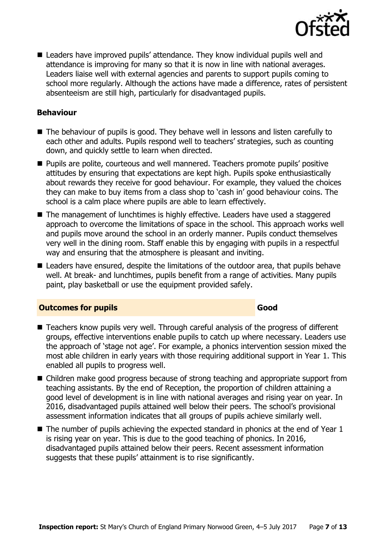

■ Leaders have improved pupils' attendance. They know individual pupils well and attendance is improving for many so that it is now in line with national averages. Leaders liaise well with external agencies and parents to support pupils coming to school more regularly. Although the actions have made a difference, rates of persistent absenteeism are still high, particularly for disadvantaged pupils.

#### **Behaviour**

- The behaviour of pupils is good. They behave well in lessons and listen carefully to each other and adults. Pupils respond well to teachers' strategies, such as counting down, and quickly settle to learn when directed.
- **Pupils are polite, courteous and well mannered. Teachers promote pupils' positive** attitudes by ensuring that expectations are kept high. Pupils spoke enthusiastically about rewards they receive for good behaviour. For example, they valued the choices they can make to buy items from a class shop to 'cash in' good behaviour coins. The school is a calm place where pupils are able to learn effectively.
- The management of lunchtimes is highly effective. Leaders have used a staggered approach to overcome the limitations of space in the school. This approach works well and pupils move around the school in an orderly manner. Pupils conduct themselves very well in the dining room. Staff enable this by engaging with pupils in a respectful way and ensuring that the atmosphere is pleasant and inviting.
- Leaders have ensured, despite the limitations of the outdoor area, that pupils behave well. At break- and lunchtimes, pupils benefit from a range of activities. Many pupils paint, play basketball or use the equipment provided safely.

#### **Outcomes for pupils Good Good**

- Teachers know pupils very well. Through careful analysis of the progress of different groups, effective interventions enable pupils to catch up where necessary. Leaders use the approach of 'stage not age'. For example, a phonics intervention session mixed the most able children in early years with those requiring additional support in Year 1. This enabled all pupils to progress well.
- Children make good progress because of strong teaching and appropriate support from teaching assistants. By the end of Reception, the proportion of children attaining a good level of development is in line with national averages and rising year on year. In 2016, disadvantaged pupils attained well below their peers. The school's provisional assessment information indicates that all groups of pupils achieve similarly well.
- $\blacksquare$  The number of pupils achieving the expected standard in phonics at the end of Year 1 is rising year on year. This is due to the good teaching of phonics. In 2016, disadvantaged pupils attained below their peers. Recent assessment information suggests that these pupils' attainment is to rise significantly.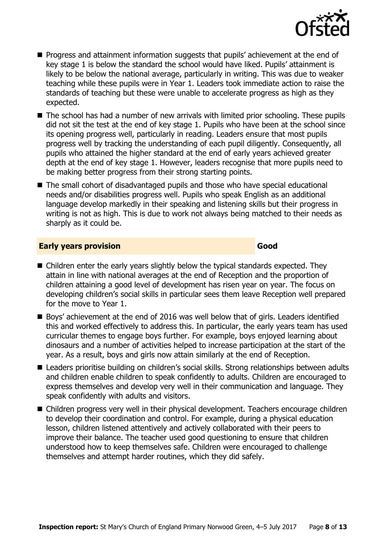

- **Progress and attainment information suggests that pupils' achievement at the end of** key stage 1 is below the standard the school would have liked. Pupils' attainment is likely to be below the national average, particularly in writing. This was due to weaker teaching while these pupils were in Year 1. Leaders took immediate action to raise the standards of teaching but these were unable to accelerate progress as high as they expected.
- The school has had a number of new arrivals with limited prior schooling. These pupils did not sit the test at the end of key stage 1. Pupils who have been at the school since its opening progress well, particularly in reading. Leaders ensure that most pupils progress well by tracking the understanding of each pupil diligently. Consequently, all pupils who attained the higher standard at the end of early years achieved greater depth at the end of key stage 1. However, leaders recognise that more pupils need to be making better progress from their strong starting points.
- The small cohort of disadvantaged pupils and those who have special educational needs and/or disabilities progress well. Pupils who speak English as an additional language develop markedly in their speaking and listening skills but their progress in writing is not as high. This is due to work not always being matched to their needs as sharply as it could be.

#### **Early years provision Good Good**

- Children enter the early years slightly below the typical standards expected. They attain in line with national averages at the end of Reception and the proportion of children attaining a good level of development has risen year on year. The focus on developing children's social skills in particular sees them leave Reception well prepared for the move to Year 1.
- Boys' achievement at the end of 2016 was well below that of girls. Leaders identified this and worked effectively to address this. In particular, the early years team has used curricular themes to engage boys further. For example, boys enjoyed learning about dinosaurs and a number of activities helped to increase participation at the start of the year. As a result, boys and girls now attain similarly at the end of Reception.
- Leaders prioritise building on children's social skills. Strong relationships between adults and children enable children to speak confidently to adults. Children are encouraged to express themselves and develop very well in their communication and language. They speak confidently with adults and visitors.
- Children progress very well in their physical development. Teachers encourage children to develop their coordination and control. For example, during a physical education lesson, children listened attentively and actively collaborated with their peers to improve their balance. The teacher used good questioning to ensure that children understood how to keep themselves safe. Children were encouraged to challenge themselves and attempt harder routines, which they did safely.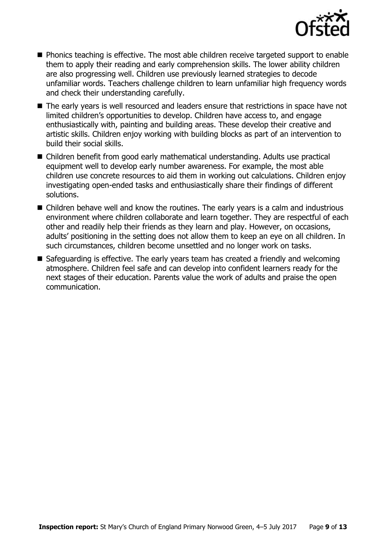

- **Phonics teaching is effective. The most able children receive targeted support to enable** them to apply their reading and early comprehension skills. The lower ability children are also progressing well. Children use previously learned strategies to decode unfamiliar words. Teachers challenge children to learn unfamiliar high frequency words and check their understanding carefully.
- The early years is well resourced and leaders ensure that restrictions in space have not limited children's opportunities to develop. Children have access to, and engage enthusiastically with, painting and building areas. These develop their creative and artistic skills. Children enjoy working with building blocks as part of an intervention to build their social skills.
- Children benefit from good early mathematical understanding. Adults use practical equipment well to develop early number awareness. For example, the most able children use concrete resources to aid them in working out calculations. Children enjoy investigating open-ended tasks and enthusiastically share their findings of different solutions.
- Children behave well and know the routines. The early years is a calm and industrious environment where children collaborate and learn together. They are respectful of each other and readily help their friends as they learn and play. However, on occasions, adults' positioning in the setting does not allow them to keep an eye on all children. In such circumstances, children become unsettled and no longer work on tasks.
- Safeguarding is effective. The early years team has created a friendly and welcoming atmosphere. Children feel safe and can develop into confident learners ready for the next stages of their education. Parents value the work of adults and praise the open communication.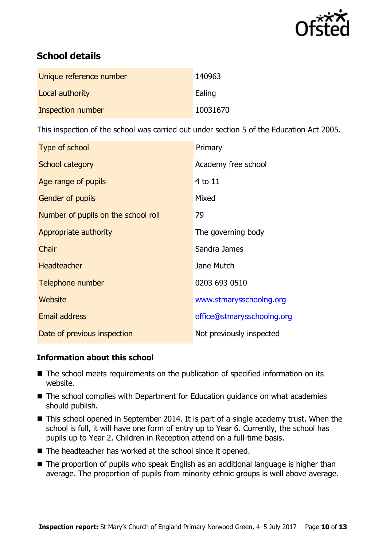

# **School details**

| Unique reference number | 140963   |
|-------------------------|----------|
| Local authority         | Ealing   |
| Inspection number       | 10031670 |

This inspection of the school was carried out under section 5 of the Education Act 2005.

| Type of school                      | Primary                    |
|-------------------------------------|----------------------------|
| School category                     | Academy free school        |
| Age range of pupils                 | 4 to 11                    |
| Gender of pupils                    | Mixed                      |
| Number of pupils on the school roll | 79                         |
| Appropriate authority               | The governing body         |
| Chair                               | Sandra James               |
| <b>Headteacher</b>                  | Jane Mutch                 |
| Telephone number                    | 0203 693 0510              |
| Website                             | www.stmarysschoolng.org    |
| <b>Email address</b>                | office@stmarysschoolng.org |
| Date of previous inspection         | Not previously inspected   |

### **Information about this school**

- The school meets requirements on the publication of specified information on its website.
- The school complies with Department for Education guidance on what academies should publish.
- This school opened in September 2014. It is part of a single academy trust. When the school is full, it will have one form of entry up to Year 6. Currently, the school has pupils up to Year 2. Children in Reception attend on a full-time basis.
- The headteacher has worked at the school since it opened.
- The proportion of pupils who speak English as an additional language is higher than average. The proportion of pupils from minority ethnic groups is well above average.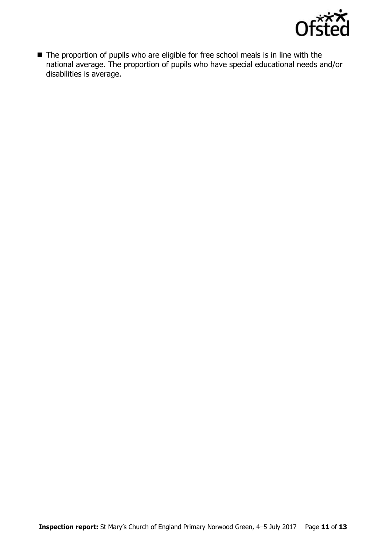

■ The proportion of pupils who are eligible for free school meals is in line with the national average. The proportion of pupils who have special educational needs and/or disabilities is average.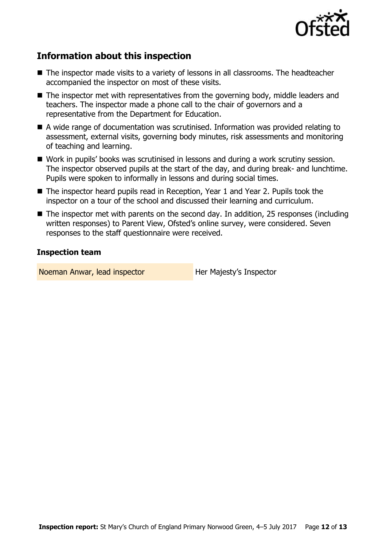

# **Information about this inspection**

- The inspector made visits to a variety of lessons in all classrooms. The headteacher accompanied the inspector on most of these visits.
- The inspector met with representatives from the governing body, middle leaders and teachers. The inspector made a phone call to the chair of governors and a representative from the Department for Education.
- A wide range of documentation was scrutinised. Information was provided relating to assessment, external visits, governing body minutes, risk assessments and monitoring of teaching and learning.
- Work in pupils' books was scrutinised in lessons and during a work scrutiny session. The inspector observed pupils at the start of the day, and during break- and lunchtime. Pupils were spoken to informally in lessons and during social times.
- The inspector heard pupils read in Reception, Year 1 and Year 2. Pupils took the inspector on a tour of the school and discussed their learning and curriculum.
- The inspector met with parents on the second day. In addition, 25 responses (including written responses) to Parent View, Ofsted's online survey, were considered. Seven responses to the staff questionnaire were received.

### **Inspection team**

Noeman Anwar, lead inspector **Her Majesty's Inspector**